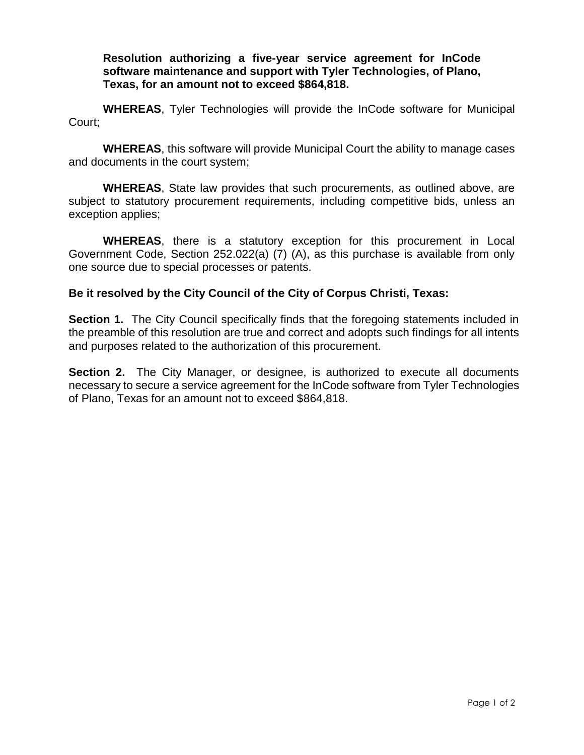**Resolution authorizing a five-year service agreement for InCode software maintenance and support with Tyler Technologies, of Plano, Texas, for an amount not to exceed \$864,818.** 

**WHEREAS**, Tyler Technologies will provide the InCode software for Municipal Court;

**WHEREAS**, this software will provide Municipal Court the ability to manage cases and documents in the court system;

**WHEREAS**, State law provides that such procurements, as outlined above, are subject to statutory procurement requirements, including competitive bids, unless an exception applies;

**WHEREAS**, there is a statutory exception for this procurement in Local Government Code, Section 252.022(a) (7) (A), as this purchase is available from only one source due to special processes or patents.

## **Be it resolved by the City Council of the City of Corpus Christi, Texas:**

**Section 1.** The City Council specifically finds that the foregoing statements included in the preamble of this resolution are true and correct and adopts such findings for all intents and purposes related to the authorization of this procurement.

**Section 2.** The City Manager, or designee, is authorized to execute all documents necessary to secure a service agreement for the InCode software from Tyler Technologies of Plano, Texas for an amount not to exceed \$864,818.